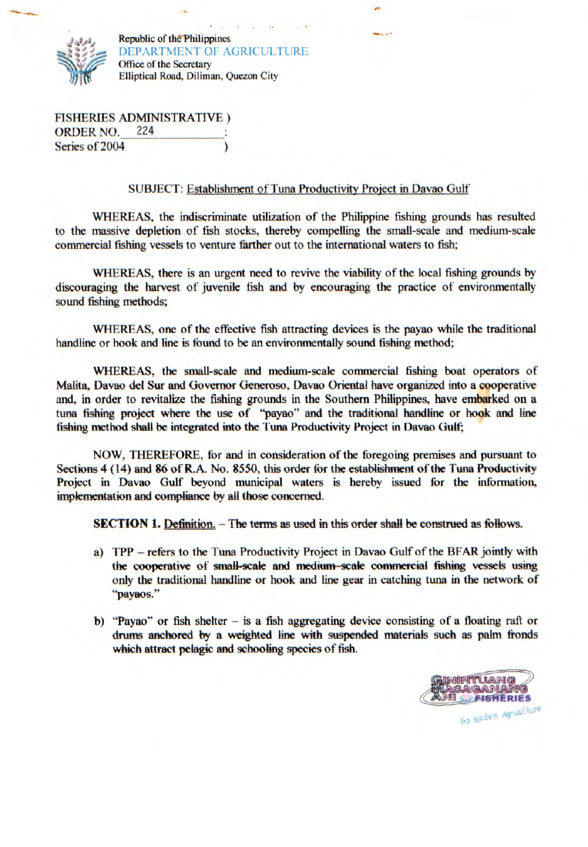

Republic of the Philippines Office of the Secretary DEPARTMENT OF AGRICULTURE Elliptical Road, Diliman, Quezon City

FISHERIES ADMINISTRATIVE) ORDER NO. 224 Series of 2004

## SUBJECT: Establishment of Tuna Productivity Project in Davao Gulf

WHEREAS, the indiscriminate utilization of the Philippine fishing grounds has resulted to the massive depletion of fish stocks, thereby compelling the small-scale and medium-scale commercial fishing vessels to venture farther out to the international waters to fish;

WHEREAS, there is an urgent need to revive the viability of the local fishing grounds by discouraging the harvest of juvenile fish and by encouraging the practice of environmentally sound fishing methods;

WHEREAS, one of the effective fish attracting devices is the payao while the traditional handline or hook and line is found to be an environmentally sound fishing method;

WHEREAS, the small-scale and medium-scale commercial fishing boat operators of Malita, Davao del Sur and Governor Generoso, Davao Oriental have organized into a cooperative and, in order to revitalize the fishing grounds in the Southern Philippines, have embarked on a tuna fishing project where the use of "payao" and the traditional handline or hook and line fishing method shall be integrated into the Tuna Productivity Project in Davao Oulf

NOW, THEREFORE, for and in consideration of the foregoing premises and pursuant to Sections 4(14) and 86 of R.A. No. *8550,* this order for the establishment of the Tuna Productivity Project in Davao Gulf beyond municipal waters is hereby issued for the information, **implementation and compliance** by all those concerned.

**SECTION 1. Definition.** - The terms as used in this order shall be construed as follows.

- a) TPP refers to the Tuna Productivity Project in Davao Gulf of the BFAR jointly with **the cooperative of small-scale and medium-scale commercial fishing vessels using**  only the traditional handline or hook and line gear in catching tuna in the network of "payaos."
- b) "Payao" or fish shelter  $-$  is a fish aggregating device consisting of a floating raft or drums anchored by a weighted line with suspended materials such as palm fronds which attract pelagic and schooling species of fish.

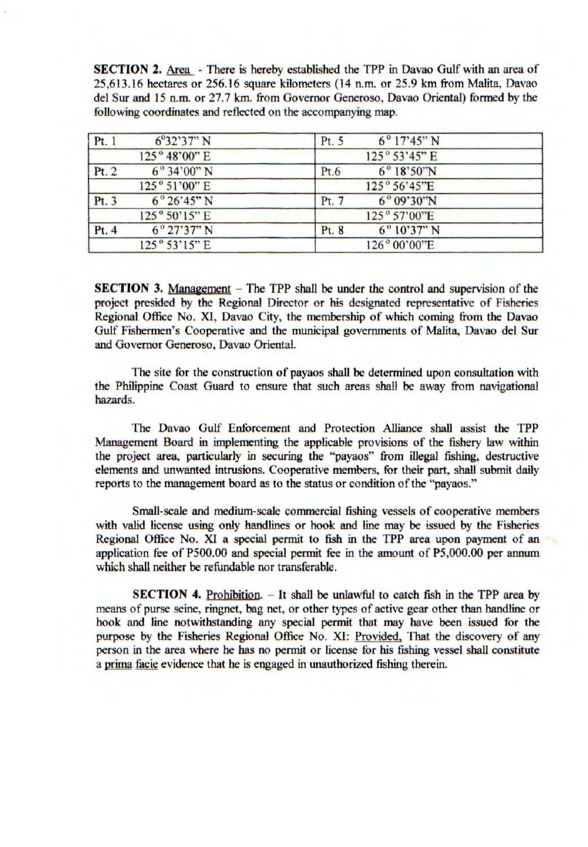**SECTION 2.** Area - There is hereby established the TPP in Davao Gulf with an area of 25,613.16 hectares or *256.16* square kilometers (14 n.m. or 25.9 km from Malita, Davao del Sur and 15 n.m. or 27.7 km. from Governor Generoso, Davao Oriental) formed by the following coordinates and reflected on the accompanying map.

| Pt. 1 | $6^{\circ}32^{\prime}37^{\prime\prime}N$ | $6^{\circ}17'45''$ N<br>Pt. 5            |
|-------|------------------------------------------|------------------------------------------|
|       | 125° 48'00" E                            | 125° 53'45" E                            |
| Pt. 2 | $6^{\circ}34'00''$ N                     | $6^{\circ}18^{\circ}50^{\circ}N$<br>Pt.6 |
|       | 125° 51'00" E                            | 125° 56'45"E                             |
| Pt. 3 | $6^{\circ}26'45''$ N                     | $6^{\circ}09'30''N$<br>Pt. 7             |
|       | $125^{\circ}50'15''$ E                   | 125° 57'00"E                             |
| Pt.4  | $6^{\circ}27'37''$ N                     | $6^{\circ}10'37''$ N<br>Pt. 8            |
|       | 125° 53'15" E                            | 126° 00'00"E                             |

**SECTION 3.** Management – The TPP shall be under the control and supervision of the project presided by the Regional Director or his designated representative of Fisheries Regional Office No. XI, Davao City, the membership of which coming from the Davao Gulf Fishermen's Cooperative and the municipal governments of Malita, Davao del Sur and Governor Generoso, Davao Oriental.

The site for the construction of payaos shall be determined upon consultation with the Philippine Coast Guard to ensure that such areas shall be away from navigational *hazards.* 

The Davao Gulf Enforcement and Protection Alliance shall assist the TPP Management Board in implementing the applicable provisions of the fishery law within the project area, particularly in securing the "payaos" from illegal fishing, destructive elements and unwanted intrusions. Cooperative members, for their part, shall submit daily reports to the management board as to the status or condition of the "payaos."

Small-scale and medium-scale commercial fishing vessels of cooperative members with valid license using only handlines or hook and line may be issued by the Fisheries Regional Office No. XI a special permit to fish in the TPP area upon payment of an application fee of P500.00 and special permit fee in the amount of P5,000.00 per annum *which* shall neither be refundable nor transferable.

**SECTION 4.** Prohibition. - It shall be unlawful to catch fish in the TPP area by means of purse seine, ringnet, bag net, or other types of active gear other than handline or hook and line notwithstanding any special permit that may have been issued for the purpose by the Fisheries Regional Office No. XI: Provided. That the discovery of any person in the area where he has no permit or license for his fishing vessel shall constitute a prima facie evidence that he is engaged in unauthorized fishing therein.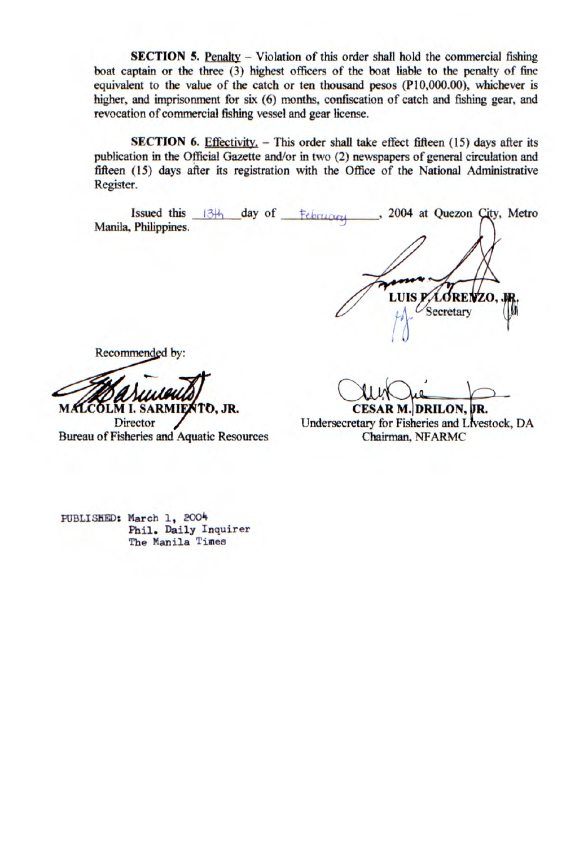**SECTION 5.** Penalty – Violation of this order shall hold the commercial fishing boat captain or the three (3) highest officers of the boat liable to the penalty of fine equivalent to the value of the catch or ten thousand pesos (P10,000.00), whichever is higher, and imprisonment for six (6) months, confiscation of catch and fishing gear, and revocation of commercial fishing vessel and gear license.

**SECTION 6.** Effectivity, - This order shall take effect fifteen (15) days after its publication in the Official Gazette and/or in two (2) newspapers of general circulation and fifteen (15) days after its registration with the Office of the National Administrative Register.

Issued this 13th day of February 2004 at Quezon City, Metro Register.<br>
Issued this 13<sup>H</sup> day of February 2004 at Quezon City, M<br>
Manila, Philippines.

**LUIS PAOREWZO** Secretary

Recommended by:

Recommended by:<br>
MACOLM 1. SARMIENTO, JR.<br>
Director<br>
Bureau of Fisheries and Aquatic Resources **MALCOLM I. SARMIENTO, JR.** 

**Director** 

**CESAR M. DRILON,** 

Undersecretary for Fisheries and Livestock, DA Chairman, NFARMC

PUBLISKED: March 1, 2004 Phil. Daily Inquirer The Manila Times